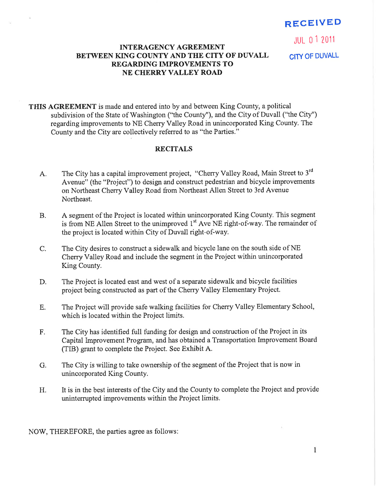# RECEIVED

JUt 0 1 <sup>2011</sup>

# INTERAGENCY AGREEMENT BETWEEN KING COUNTY AND THE CITY OF DUVALL CITY OF DUVALL REGARDING IMPROVEMENTS TO NE CHERRY VALLEY ROAD

THIS AGREEMENT is made and entered into by and between King County, a political subdivision of the State of Washington ("the County"), and the City of Duvall ("the City") regarding improvements to NE Cherry Valley Road in unincorporated King County. The County and the City are collectively referred to as "the Parties."

#### RECITALS

- A. The City has a capital improvement project, "Cherry Valley Road, Main Street to 3<sup>rd</sup> Avenue" (the "Project") to design and construct pedestrian and bicycle improvements on Northeast Cherry Valley Road from Northeast Allen Street to 3rd Avenue Northeast.
- B. A segment of the Project is located within unincorporated King County. This segment is from NE Allen Street to the unimproved  $1<sup>st</sup>$  Ave NE right-of-way. The remainder of the project is located within City of Duvall right-of-way.
- C. The City desires to construct a sidewalk and bicycle lane on the south side of NE Cherry Valley Road and include the segment in the Project within unincorporated King County.
- D. The Project is located east and west of a separate sidewalk and bicycle facilities project being constructed as part of the Cheny Valley Elementary Project.
- E. The Project will provide safe walking facilities for Cherry Valley Elementary School, which is located within the Project limits.
- F. The City has identified full funding for design and construction of the Project in its Capital Improvement Program, and has obtained a Transportation Improvement Board (TIB) grant to complete the Project. See Exhibit A.
- G. The City is willing to take ownership of the segment of the Project that is now in unincorporated King County.
- H. It is in the best interests of the City and the County to complete the Project and provide unintemrpted improvements within the Project limits.

NOW, THEREFORE, the parties agree as follows: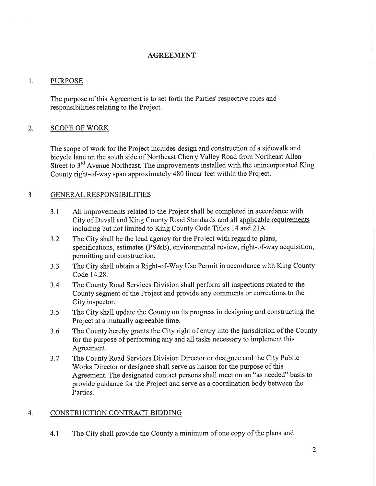#### AGREEMENT

#### 1. PURPOSE

The purpose of this Agreement is to set forth the Parties'respective roles and responsibilities relating to the Project.

# 2. SCOPE OF WORK

The scope of work for the Project includes design and construction of a sidewalk and bicycle lane on the south side of Northeast Cherry Valley Road from Northeast Allen Street to 3<sup>rd</sup> Avenue Northeast. The improvements installed with the unincorporated King County right-of-way span approximately 480 linear feet within the Project.

# 3 GENERAL RESPONSIBILITIES

- 3.1 All improvements related to the Project shall be completed in accordance with City of Duvall and King County Road Standards and all applicable requirements including but not limited to King County Code Titles 14 and 21A.
- 3.2 The City shall be the lead agency for the Project with regard to plans, specifications, estimates (PS&E), environmental review, right-of-way acquisition, permitting and construction.
- 3.3 The City shall obtain a Right-of-Way Use Permit in accordance with King County Code 14.28.
- 3.4 The County Road Services Division shall perform all inspections related to the County segment of the Project and provide any comments or corrections to the City inspector.
- 3.5 The City shall update the County on its progress in designing and constructing the Project at a mutually agreeable time.
- 3.6 The County hereby grants the City right of entry into the jurisdiction of the County for the purpose of performing any and all tasks necessary to implement this Agreement.
- 3.7 The County Road Services Division Director or designee and the City Public Works Director or designee shall serve as liaison for the purpose of this Agreement. The designated contact persons shall meet on an "as needed" basis to provide guidance for the Project and serve as a coordination body between the Parties.

#### 4, CONSTRUCTION CONTRACT BIDDING

4.1 The City shall provide the County a minimum of one copy of the plans and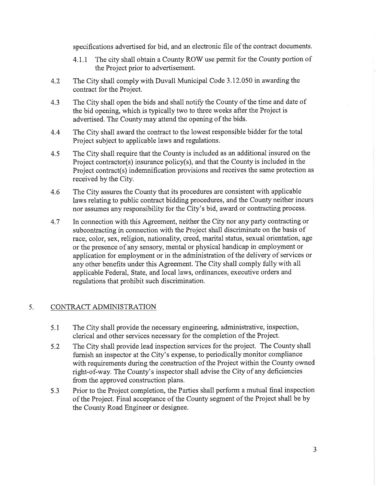specifications advertised for bid, and an electronic file of the contract documents.

- 4.1.1 The city shall obtain a County ROW use permit for the County portion of the Project prior to advertisement.
- The City shall comply with Duvall Municipal Code 3.12.050 in awarding the contract for the Project. 4.2
- The City shall open the bids and shall notify the County of the time and date of the bid opening, which is typically two to three weeks after the Project is advertised. The County may attend the opening of the bids. 4.3
- The City shall award the contract to the lowest responsible bidder for the total Project subject to applicable laws and regulations. 4.4
- The City shall require that the County is included as an additional insured on the Project contractor(s) insurance policy(s), and that the County is included in the Project contract(s) indemnification provisions and receives the same protection as received by the City. 4.5
- The City assures the County that its procedures are consistent with applicable laws relating to public contract bidding procedures, and the County neither incurs nor assumes any responsibility for the City's bid, award or contracting process. 4.6
- In connection with this Agreement, neither the City nor any party contracting or subcontracting in connection with the Project shall discriminate on the basis of race, color, sex, religion, nationality, creed, marital status, sexual orientation, age or the presence of any sensory, mental or physical handicap in employment or application for employment or in the administration of the delivery of services or any other benefits under this Agreement. The City shall comply fully with all applicable Federal, State, and local laws, ordinances, executive orders and regulations that prohibit such discrimination. 4.7

# 5. CONTRACT ADMINISTRATION

- The City shall provide the necessary engineering, administrative, inspection, clerical and other services necessary for the completion of the Project. 5.1
- The City shall provide lead inspection services for the project. The County shall furnish an inspector at the City's expense, to periodically monitor compliance with requirements during the construction of the Project within the County owned right-of-way. The County's inspector shall advise the City of any deficiencies from the approved construction plans. 5.2
- Prior to the Project completion, the Parties shall perform a mutual final inspection of the Project. Final acceptance of the County segment of the Project shall be by the County Road Engineer or designee. 5.3